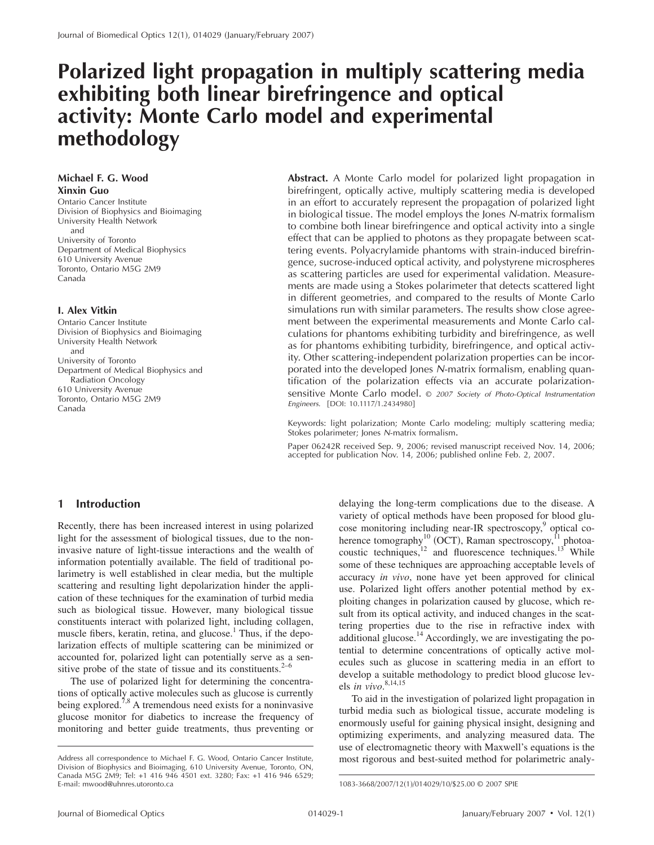# **Polarized light propagation in multiply scattering media exhibiting both linear birefringence and optical activity: Monte Carlo model and experimental methodology**

#### **Michael F. G. Wood Xinxin Guo**

Ontario Cancer Institute Division of Biophysics and Bioimaging University Health Network and University of Toronto Department of Medical Biophysics 610 University Avenue Toronto, Ontario M5G 2M9 Canada

## **I. Alex Vitkin**

Ontario Cancer Institute Division of Biophysics and Bioimaging University Health Network and University of Toronto Department of Medical Biophysics and Radiation Oncology 610 University Avenue Toronto, Ontario M5G 2M9 Canada

**Abstract.** A Monte Carlo model for polarized light propagation in birefringent, optically active, multiply scattering media is developed in an effort to accurately represent the propagation of polarized light in biological tissue. The model employs the Jones *N*-matrix formalism to combine both linear birefringence and optical activity into a single effect that can be applied to photons as they propagate between scattering events. Polyacrylamide phantoms with strain-induced birefringence, sucrose-induced optical activity, and polystyrene microspheres as scattering particles are used for experimental validation. Measurements are made using a Stokes polarimeter that detects scattered light in different geometries, and compared to the results of Monte Carlo simulations run with similar parameters. The results show close agreement between the experimental measurements and Monte Carlo calculations for phantoms exhibiting turbidity and birefringence, as well as for phantoms exhibiting turbidity, birefringence, and optical activity. Other scattering-independent polarization properties can be incorporated into the developed Jones *N*-matrix formalism, enabling quantification of the polarization effects via an accurate polarizationsensitive Monte Carlo model. © *2007 Society of Photo-Optical Instrumentation Engineers.* [DOI: 10.1117/1.2434980]

Keywords: light polarization; Monte Carlo modeling; multiply scattering media; Stokes polarimeter; Jones *N*-matrix formalism.

Paper 06242R received Sep. 9, 2006; revised manuscript received Nov. 14, 2006; accepted for publication Nov. 14, 2006; published online Feb. 2, 2007.

# **1 Introduction**

Recently, there has been increased interest in using polarized light for the assessment of biological tissues, due to the noninvasive nature of light-tissue interactions and the wealth of information potentially available. The field of traditional polarimetry is well established in clear media, but the multiple scattering and resulting light depolarization hinder the application of these techniques for the examination of turbid media such as biological tissue. However, many biological tissue constituents interact with polarized light, including collagen, muscle fibers, keratin, retina, and glucose.<sup>1</sup> Thus, if the depolarization effects of multiple scattering can be minimized or accounted for, polarized light can potentially serve as a sensitive probe of the state of tissue and its constituents. $2-6$ 

The use of polarized light for determining the concentrations of optically active molecules such as glucose is currently being explored.<sup>7,8</sup> A tremendous need exists for a noninvasive glucose monitor for diabetics to increase the frequency of monitoring and better guide treatments, thus preventing or delaying the long-term complications due to the disease. A variety of optical methods have been proposed for blood glucose monitoring including near-IR spectroscopy,<sup>9</sup> optical coherence tomography<sup>10</sup> (OCT), Raman spectroscopy,<sup>11</sup> photoacoustic techniques,<sup>12</sup> and fluorescence techniques.<sup>13</sup> While some of these techniques are approaching acceptable levels of accuracy *in vivo*, none have yet been approved for clinical use. Polarized light offers another potential method by exploiting changes in polarization caused by glucose, which result from its optical activity, and induced changes in the scattering properties due to the rise in refractive index with additional glucose.<sup>14</sup> Accordingly, we are investigating the potential to determine concentrations of optically active molecules such as glucose in scattering media in an effort to develop a suitable methodology to predict blood glucose levels *in vivo*. 8,14,15

To aid in the investigation of polarized light propagation in turbid media such as biological tissue, accurate modeling is enormously useful for gaining physical insight, designing and optimizing experiments, and analyzing measured data. The use of electromagnetic theory with Maxwell's equations is the most rigorous and best-suited method for polarimetric analy-

Address all correspondence to Michael F. G. Wood, Ontario Cancer Institute, Division of Biophysics and Bioimaging, 610 University Avenue, Toronto, ON, Canada M5G 2M9; Tel: +1 416 946 4501 ext. 3280; Fax: +1 416 946 6529; E-mail: mwood@uhnres.utoronto.ca

<sup>1083-3668/2007/12</sup>1/014029/10/\$25.00 © 2007 SPIE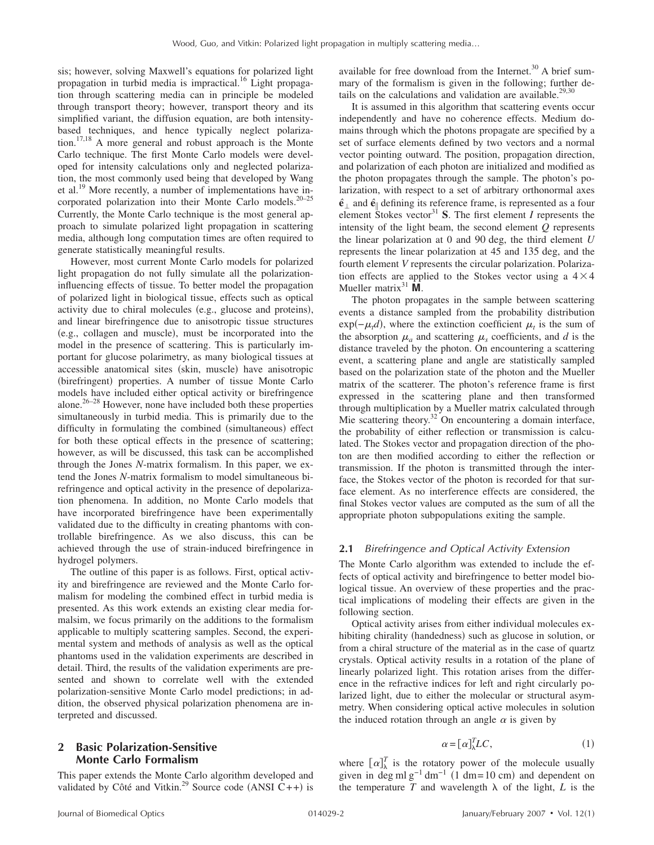sis; however, solving Maxwell's equations for polarized light propagation in turbid media is impractical.<sup>16</sup> Light propagation through scattering media can in principle be modeled through transport theory; however, transport theory and its simplified variant, the diffusion equation, are both intensitybased techniques, and hence typically neglect polarization.17,18 A more general and robust approach is the Monte Carlo technique. The first Monte Carlo models were developed for intensity calculations only and neglected polarization, the most commonly used being that developed by Wang et al.<sup>19</sup> More recently, a number of implementations have incorporated polarization into their Monte Carlo models.<sup>20–25</sup> Currently, the Monte Carlo technique is the most general approach to simulate polarized light propagation in scattering media, although long computation times are often required to generate statistically meaningful results.

However, most current Monte Carlo models for polarized light propagation do not fully simulate all the polarizationinfluencing effects of tissue. To better model the propagation of polarized light in biological tissue, effects such as optical activity due to chiral molecules (e.g., glucose and proteins), and linear birefringence due to anisotropic tissue structures (e.g., collagen and muscle), must be incorporated into the model in the presence of scattering. This is particularly important for glucose polarimetry, as many biological tissues at accessible anatomical sites (skin, muscle) have anisotropic (birefringent) properties. A number of tissue Monte Carlo models have included either optical activity or birefringence alone.26–28 However, none have included both these properties simultaneously in turbid media. This is primarily due to the difficulty in formulating the combined (simultaneous) effect for both these optical effects in the presence of scattering; however, as will be discussed, this task can be accomplished through the Jones *N*-matrix formalism. In this paper, we extend the Jones *N*-matrix formalism to model simultaneous birefringence and optical activity in the presence of depolarization phenomena. In addition, no Monte Carlo models that have incorporated birefringence have been experimentally validated due to the difficulty in creating phantoms with controllable birefringence. As we also discuss, this can be achieved through the use of strain-induced birefringence in hydrogel polymers.

The outline of this paper is as follows. First, optical activity and birefringence are reviewed and the Monte Carlo formalism for modeling the combined effect in turbid media is presented. As this work extends an existing clear media formalsim, we focus primarily on the additions to the formalism applicable to multiply scattering samples. Second, the experimental system and methods of analysis as well as the optical phantoms used in the validation experiments are described in detail. Third, the results of the validation experiments are presented and shown to correlate well with the extended polarization-sensitive Monte Carlo model predictions; in addition, the observed physical polarization phenomena are interpreted and discussed.

#### **2 Basic Polarization-Sensitive Monte Carlo Formalism**

This paper extends the Monte Carlo algorithm developed and validated by Côté and Vitkin.<sup>29</sup> Source code (ANSI  $C++$ ) is

available for free download from the Internet.<sup>30</sup> A brief summary of the formalism is given in the following; further details on the calculations and validation are available.<sup>29,30</sup>

It is assumed in this algorithm that scattering events occur independently and have no coherence effects. Medium domains through which the photons propagate are specified by a set of surface elements defined by two vectors and a normal vector pointing outward. The position, propagation direction, and polarization of each photon are initialized and modified as the photon propagates through the sample. The photon's polarization, with respect to a set of arbitrary orthonormal axes  $\hat{\mathbf{e}}$ <sub>*i*</sub> and  $\hat{\mathbf{e}}$ <sub>*i*</sub> defining its reference frame, is represented as a four element Stokes vector<sup>31</sup> **S**. The first element *I* represents the intensity of the light beam, the second element *Q* represents the linear polarization at 0 and 90 deg, the third element *U* represents the linear polarization at 45 and 135 deg, and the fourth element *V* represents the circular polarization. Polarization effects are applied to the Stokes vector using a  $4 \times 4$ Mueller matrix<sup>31</sup> M.

The photon propagates in the sample between scattering events a distance sampled from the probability distribution  $exp(-\mu_t d)$ , where the extinction coefficient  $\mu_t$  is the sum of the absorption  $\mu_a$  and scattering  $\mu_s$  coefficients, and *d* is the distance traveled by the photon. On encountering a scattering event, a scattering plane and angle are statistically sampled based on the polarization state of the photon and the Mueller matrix of the scatterer. The photon's reference frame is first expressed in the scattering plane and then transformed through multiplication by a Mueller matrix calculated through Mie scattering theory.<sup>32</sup> On encountering a domain interface, the probability of either reflection or transmission is calculated. The Stokes vector and propagation direction of the photon are then modified according to either the reflection or transmission. If the photon is transmitted through the interface, the Stokes vector of the photon is recorded for that surface element. As no interference effects are considered, the final Stokes vector values are computed as the sum of all the appropriate photon subpopulations exiting the sample.

#### **2.1** *Birefringence and Optical Activity Extension*

The Monte Carlo algorithm was extended to include the effects of optical activity and birefringence to better model biological tissue. An overview of these properties and the practical implications of modeling their effects are given in the following section.

Optical activity arises from either individual molecules exhibiting chirality (handedness) such as glucose in solution, or from a chiral structure of the material as in the case of quartz crystals. Optical activity results in a rotation of the plane of linearly polarized light. This rotation arises from the difference in the refractive indices for left and right circularly polarized light, due to either the molecular or structural asymmetry. When considering optical active molecules in solution the induced rotation through an angle  $\alpha$  is given by

$$
\alpha = [\alpha]_{\lambda}^T LC,\tag{1}
$$

where  $\left[\alpha\right]_{{\lambda}}^{T}$  is the rotatory power of the molecule usually given in deg ml  $g^{-1}$  dm<sup>-1</sup> (1 dm=10 cm) and dependent on the temperature  $\overline{T}$  and wavelength  $\lambda$  of the light,  $L$  is the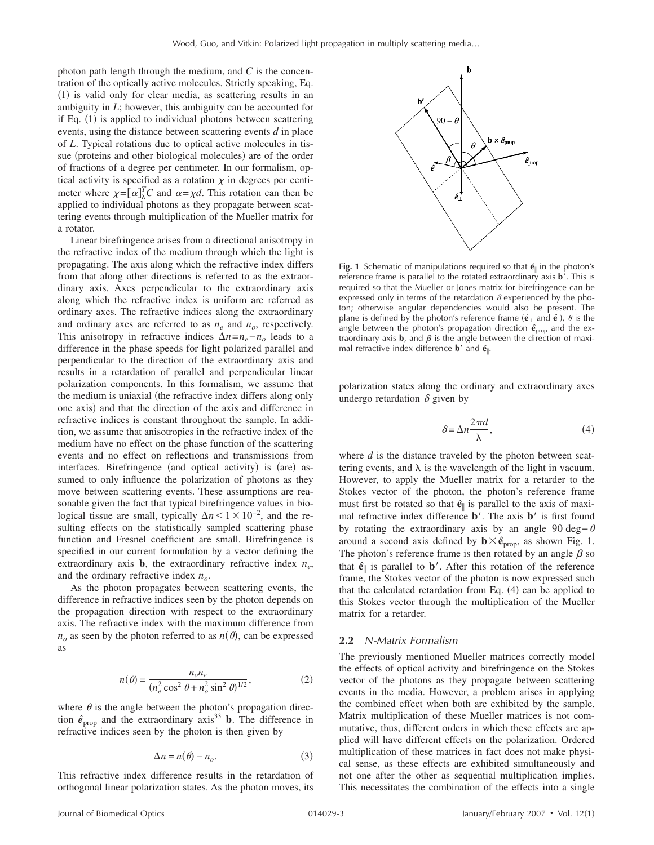photon path length through the medium, and *C* is the concentration of the optically active molecules. Strictly speaking, Eq. (1) is valid only for clear media, as scattering results in an ambiguity in *L*; however, this ambiguity can be accounted for if Eq. (1) is applied to individual photons between scattering events, using the distance between scattering events *d* in place of *L*. Typical rotations due to optical active molecules in tissue (proteins and other biological molecules) are of the order of fractions of a degree per centimeter. In our formalism, optical activity is specified as a rotation  $\chi$  in degrees per centimeter where  $\chi = [\alpha]_0^T C$  and  $\alpha = \chi d$ . This rotation can then be applied to individual photons as they propagate between scattering events through multiplication of the Mueller matrix for a rotator.

Linear birefringence arises from a directional anisotropy in the refractive index of the medium through which the light is propagating. The axis along which the refractive index differs from that along other directions is referred to as the extraordinary axis. Axes perpendicular to the extraordinary axis along which the refractive index is uniform are referred as ordinary axes. The refractive indices along the extraordinary and ordinary axes are referred to as  $n_e$  and  $n_o$ , respectively. This anisotropy in refractive indices  $\Delta n=n_e-n_o$  leads to a difference in the phase speeds for light polarized parallel and perpendicular to the direction of the extraordinary axis and results in a retardation of parallel and perpendicular linear polarization components. In this formalism, we assume that the medium is uniaxial (the refractive index differs along only one axis) and that the direction of the axis and difference in refractive indices is constant throughout the sample. In addition, we assume that anisotropies in the refractive index of the medium have no effect on the phase function of the scattering events and no effect on reflections and transmissions from interfaces. Birefringence (and optical activity) is (are) assumed to only influence the polarization of photons as they move between scattering events. These assumptions are reasonable given the fact that typical birefringence values in biological tissue are small, typically  $\Delta n \leq 1 \times 10^{-2}$ , and the resulting effects on the statistically sampled scattering phase function and Fresnel coefficient are small. Birefringence is specified in our current formulation by a vector defining the extraordinary axis **b**, the extraordinary refractive index  $n_e$ , and the ordinary refractive index  $n<sub>o</sub>$ .

As the photon propagates between scattering events, the difference in refractive indices seen by the photon depends on the propagation direction with respect to the extraordinary axis. The refractive index with the maximum difference from  $n_o$  as seen by the photon referred to as  $n(\theta)$ , can be expressed as

$$
n(\theta) = \frac{n_o n_e}{(n_e^2 \cos^2 \theta + n_o^2 \sin^2 \theta)^{1/2}},
$$
 (2)

where  $\theta$  is the angle between the photon's propagation direction  $\hat{e}_{\text{prop}}$  and the extraordinary axis<sup>33</sup> **b**. The difference in refractive indices seen by the photon is then given by

$$
\Delta n = n(\theta) - n_o. \tag{3}
$$

This refractive index difference results in the retardation of orthogonal linear polarization states. As the photon moves, its



**Fig. 1** Schematic of manipulations required so that  $\hat{\mathbf{e}}$ <sub>*i*</sub> in the photon's reference frame is parallel to the rotated extraordinary axis **b**<sup>'</sup>. This is required so that the Mueller or Jones matrix for birefringence can be expressed only in terms of the retardation  $\delta$  experienced by the photon; otherwise angular dependencies would also be present. The plane is defined by the photon's reference frame  $(\hat{\mathbf{e}}_+$  and  $\hat{\mathbf{e}}_0$ *,*  $\theta$  is the angle between the photon's propagation direction  $\hat{\mathbf{e}}_{\text{prop}}$  and the extraordinary axis **b**, and  $\beta$  is the angle between the direction of maximal refractive index difference **b**<sup>*'*</sup> and  $\hat{\mathbf{e}}$ <sup>*<sub>i</sub>*</sup>.

polarization states along the ordinary and extraordinary axes undergo retardation  $\delta$  given by

$$
\delta = \Delta n \frac{2\pi d}{\lambda},\tag{4}
$$

where *d* is the distance traveled by the photon between scattering events, and  $\lambda$  is the wavelength of the light in vacuum. However, to apply the Mueller matrix for a retarder to the Stokes vector of the photon, the photon's reference frame must first be rotated so that  $\hat{\mathbf{e}}_{\parallel}$  is parallel to the axis of maximal refractive index difference **b**'. The axis **b**' is first found by rotating the extraordinary axis by an angle 90 deg– $\theta$ around a second axis defined by  $\mathbf{b} \times \hat{\mathbf{e}}_{\text{prop}}$ , as shown Fig. 1. The photon's reference frame is then rotated by an angle  $\beta$  so that  $\hat{\mathbf{e}}$  is parallel to  $\mathbf{b}'$ . After this rotation of the reference frame, the Stokes vector of the photon is now expressed such that the calculated retardation from Eq. (4) can be applied to this Stokes vector through the multiplication of the Mueller matrix for a retarder.

### **2.2** *N-Matrix Formalism*

The previously mentioned Mueller matrices correctly model the effects of optical activity and birefringence on the Stokes vector of the photons as they propagate between scattering events in the media. However, a problem arises in applying the combined effect when both are exhibited by the sample. Matrix multiplication of these Mueller matrices is not commutative, thus, different orders in which these effects are applied will have different effects on the polarization. Ordered multiplication of these matrices in fact does not make physical sense, as these effects are exhibited simultaneously and not one after the other as sequential multiplication implies. This necessitates the combination of the effects into a single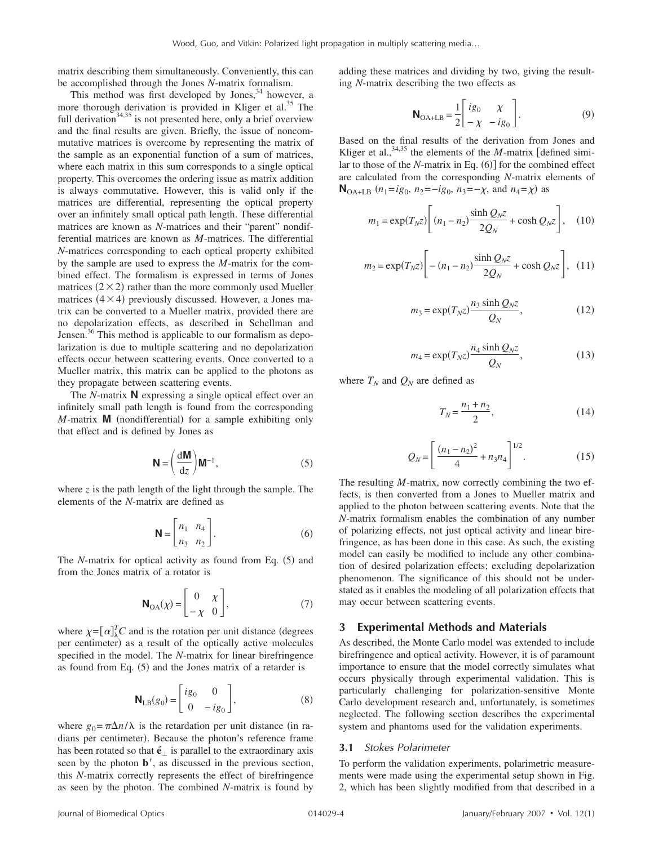matrix describing them simultaneously. Conveniently, this can be accomplished through the Jones *N*-matrix formalism.

This method was first developed by Jones,  $34$  however, a more thorough derivation is provided in Kliger et al.<sup>35</sup> The full derivation<sup>34,35</sup> is not presented here, only a brief overview and the final results are given. Briefly, the issue of noncommutative matrices is overcome by representing the matrix of the sample as an exponential function of a sum of matrices, where each matrix in this sum corresponds to a single optical property. This overcomes the ordering issue as matrix addition is always commutative. However, this is valid only if the matrices are differential, representing the optical property over an infinitely small optical path length. These differential matrices are known as *N*-matrices and their "parent" nondifferential matrices are known as *M*-matrices. The differential *N*-matrices corresponding to each optical property exhibited by the sample are used to express the *M*-matrix for the combined effect. The formalism is expressed in terms of Jones matrices  $(2 \times 2)$  rather than the more commonly used Mueller matrices  $(4 \times 4)$  previously discussed. However, a Jones matrix can be converted to a Mueller matrix, provided there are no depolarization effects, as described in Schellman and Jensen.<sup>36</sup> This method is applicable to our formalism as depolarization is due to multiple scattering and no depolarization effects occur between scattering events. Once converted to a Mueller matrix, this matrix can be applied to the photons as they propagate between scattering events.

The *N*-matrix **N** expressing a single optical effect over an infinitely small path length is found from the corresponding M-matrix **M** (nondifferential) for a sample exhibiting only that effect and is defined by Jones as

$$
\mathbf{N} = \left(\frac{\mathrm{d}\mathbf{M}}{\mathrm{d}z}\right)\mathbf{M}^{-1},\tag{5}
$$

where  $\zeta$  is the path length of the light through the sample. The elements of the *N*-matrix are defined as

$$
\mathbf{N} = \begin{bmatrix} n_1 & n_4 \\ n_3 & n_2 \end{bmatrix} . \tag{6}
$$

The *N*-matrix for optical activity as found from Eq. (5) and from the Jones matrix of a rotator is

$$
\mathbf{N}_{\text{OA}}(\chi) = \begin{bmatrix} 0 & \chi \\ -\chi & 0 \end{bmatrix},\tag{7}
$$

where  $\chi = [\alpha]_{\lambda}^{T}C$  and is the rotation per unit distance (degrees per centimeter) as a result of the optically active molecules specified in the model. The *N*-matrix for linear birefringence as found from Eq. (5) and the Jones matrix of a retarder is

$$
\mathbf{N}_{\text{LB}}(g_0) = \begin{bmatrix} ig_0 & 0 \\ 0 & -ig_0 \end{bmatrix},
$$
 (8)

where  $g_0 = \pi \Delta n / \lambda$  is the retardation per unit distance (in radians per centimeter). Because the photon's reference frame has been rotated so that  $\hat{\mathbf{e}}_{\perp}$  is parallel to the extraordinary axis seen by the photon **b**<sup>'</sup>, as discussed in the previous section, this *N*-matrix correctly represents the effect of birefringence as seen by the photon. The combined *N*-matrix is found by adding these matrices and dividing by two, giving the resulting *N*-matrix describing the two effects as

$$
\mathbf{N}_{\text{OA+LB}} = \frac{1}{2} \begin{bmatrix} ig_0 & \chi \\ -\chi & -ig_0 \end{bmatrix} . \tag{9}
$$

Based on the final results of the derivation from Jones and Kliger et al.,<sup>34,35</sup> the elements of the *M*-matrix [defined similar to those of the *N*-matrix in Eq. (6)] for the combined effect are calculated from the corresponding *N*-matrix elements of **N**<sub>OA+LB</sub> (*n*<sub>1</sub>=*ig*<sub>0</sub>, *n*<sub>2</sub>=−*ig*<sub>0</sub>, *n*<sub>3</sub>=− $\chi$ , and *n*<sub>4</sub>= $\chi$ ) as

$$
m_1 = \exp(T_N z) \left[ (n_1 - n_2) \frac{\sinh Q_N z}{2Q_N} + \cosh Q_N z \right], \quad (10)
$$

$$
m_2 = \exp(T_N z) \left[ - (n_1 - n_2) \frac{\sinh Q_N z}{2Q_N} + \cosh Q_N z \right], \quad (11)
$$

$$
m_3 = \exp(T_N z) \frac{n_3 \sinh Q_N z}{Q_N},
$$
\n(12)

$$
m_4 = \exp(T_N z) \frac{n_4 \sinh Q_N z}{Q_N},
$$
\n(13)

where  $T_N$  and  $Q_N$  are defined as

$$
T_N = \frac{n_1 + n_2}{2},\tag{14}
$$

$$
Q_N = \left[\frac{(n_1 - n_2)^2}{4} + n_3 n_4\right]^{1/2}.\tag{15}
$$

The resulting *M*-matrix, now correctly combining the two effects, is then converted from a Jones to Mueller matrix and applied to the photon between scattering events. Note that the *N*-matrix formalism enables the combination of any number of polarizing effects, not just optical activity and linear birefringence, as has been done in this case. As such, the existing model can easily be modified to include any other combination of desired polarization effects; excluding depolarization phenomenon. The significance of this should not be understated as it enables the modeling of all polarization effects that may occur between scattering events.

#### **3 Experimental Methods and Materials**

As described, the Monte Carlo model was extended to include birefringence and optical activity. However, it is of paramount importance to ensure that the model correctly simulates what occurs physically through experimental validation. This is particularly challenging for polarization-sensitive Monte Carlo development research and, unfortunately, is sometimes neglected. The following section describes the experimental system and phantoms used for the validation experiments.

#### **3.1** *Stokes Polarimeter*

To perform the validation experiments, polarimetric measurements were made using the experimental setup shown in Fig. 2, which has been slightly modified from that described in a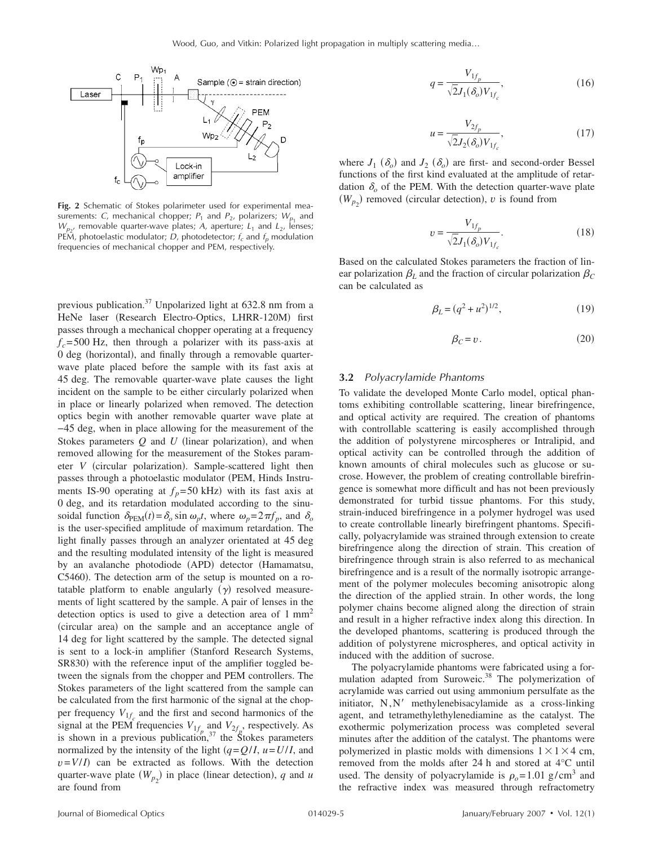

**Fig. 2** Schematic of Stokes polarimeter used for experimental measurements: *C*, mechanical chopper;  $P_1$  and  $P_2$ , polarizers;  $W_{p_1}$  and *W<sub>p<sub>2</sub>*</sub>, removable quarter-wave plates; *A*, aperture; *L*<sub>1</sub> and *L*<sub>2</sub>, lenses; PEM, photoelastic modulator; *D*, photodetector;  $f_c$  and  $f_p$  modulation frequencies of mechanical chopper and PEM, respectively.

previous publication.<sup>37</sup> Unpolarized light at 632.8 nm from a HeNe laser (Research Electro-Optics, LHRR-120M) first passes through a mechanical chopper operating at a frequency  $f_c$ = 500 Hz, then through a polarizer with its pass-axis at 0 deg (horizontal), and finally through a removable quarterwave plate placed before the sample with its fast axis at 45 deg. The removable quarter-wave plate causes the light incident on the sample to be either circularly polarized when in place or linearly polarized when removed. The detection optics begin with another removable quarter wave plate at −45 deg, when in place allowing for the measurement of the Stokes parameters  $Q$  and  $U$  (linear polarization), and when removed allowing for the measurement of the Stokes parameter *V* (circular polarization). Sample-scattered light then passes through a photoelastic modulator (PEM, Hinds Instruments IS-90 operating at  $f_p = 50$  kHz) with its fast axis at 0 deg, and its retardation modulated according to the sinusoidal function  $\delta_{\text{PEM}}(t) = \delta_o \sin \omega_p t$ , where  $\omega_p = 2 \pi f_p$ , and  $\delta_o$ is the user-specified amplitude of maximum retardation. The light finally passes through an analyzer orientated at 45 deg and the resulting modulated intensity of the light is measured by an avalanche photodiode (APD) detector (Hamamatsu, C5460). The detection arm of the setup is mounted on a rotatable platform to enable angularly  $(y)$  resolved measurements of light scattered by the sample. A pair of lenses in the detection optics is used to give a detection area of 1 mm2 (circular area) on the sample and an acceptance angle of 14 deg for light scattered by the sample. The detected signal is sent to a lock-in amplifier (Stanford Research Systems, SR830) with the reference input of the amplifier toggled between the signals from the chopper and PEM controllers. The Stokes parameters of the light scattered from the sample can be calculated from the first harmonic of the signal at the chopper frequency  $V_{1f_c}$  and the first and second harmonics of the signal at the PEM frequencies  $V_{1f_p}$  and  $V_{2f_p}$ , respectively. As is shown in a previous publication,<sup>37</sup> the Stokes parameters normalized by the intensity of the light  $(q=Q/I, u=U/I,$  and  $v = V/I$  can be extracted as follows. With the detection quarter-wave plate  $(W_{p_2})$  in place (linear detection), *q* and *u* are found from

$$
q = \frac{V_{1f_p}}{\sqrt{2}J_1(\delta_o)V_{1f_c}},
$$
\n(16)

$$
u = \frac{V_{2f_p}}{\sqrt{2}J_2(\delta_o)V_{1f_c}},
$$
\n(17)

where  $J_1$  ( $\delta_o$ ) and  $J_2$  ( $\delta_o$ ) are first- and second-order Bessel functions of the first kind evaluated at the amplitude of retardation  $\delta$ <sub>o</sub> of the PEM. With the detection quarter-wave plate  $(W_{p_2})$  removed (circular detection), *v* is found from

$$
v = \frac{V_{1f_p}}{\sqrt{2}J_1(\delta_o)V_{1f_c}}.\tag{18}
$$

Based on the calculated Stokes parameters the fraction of linear polarization  $\beta_L$  and the fraction of circular polarization  $\beta_C$ can be calculated as

$$
\beta_L = (q^2 + u^2)^{1/2},\tag{19}
$$

$$
\beta_C = v. \tag{20}
$$

#### **3.2** *Polyacrylamide Phantoms*

To validate the developed Monte Carlo model, optical phantoms exhibiting controllable scattering, linear birefringence, and optical activity are required. The creation of phantoms with controllable scattering is easily accomplished through the addition of polystyrene mircospheres or Intralipid, and optical activity can be controlled through the addition of known amounts of chiral molecules such as glucose or sucrose. However, the problem of creating controllable birefringence is somewhat more difficult and has not been previously demonstrated for turbid tissue phantoms. For this study, strain-induced birefringence in a polymer hydrogel was used to create controllable linearly birefringent phantoms. Specifically, polyacrylamide was strained through extension to create birefringence along the direction of strain. This creation of birefringence through strain is also referred to as mechanical birefringence and is a result of the normally isotropic arrangement of the polymer molecules becoming anisotropic along the direction of the applied strain. In other words, the long polymer chains become aligned along the direction of strain and result in a higher refractive index along this direction. In the developed phantoms, scattering is produced through the addition of polystyrene microspheres, and optical activity in induced with the addition of sucrose.

The polyacrylamide phantoms were fabricated using a formulation adapted from Suroweic.<sup>38</sup> The polymerization of acrylamide was carried out using ammonium persulfate as the initiator,  $N, N'$  methylenebisacylamide as a cross-linking agent, and tetramethylethylenediamine as the catalyst. The exothermic polymerization process was completed several minutes after the addition of the catalyst. The phantoms were polymerized in plastic molds with dimensions  $1 \times 1 \times 4$  cm, removed from the molds after 24 h and stored at 4°C until used. The density of polyacrylamide is  $\rho_0 = 1.01$  g/cm<sup>3</sup> and the refractive index was measured through refractometry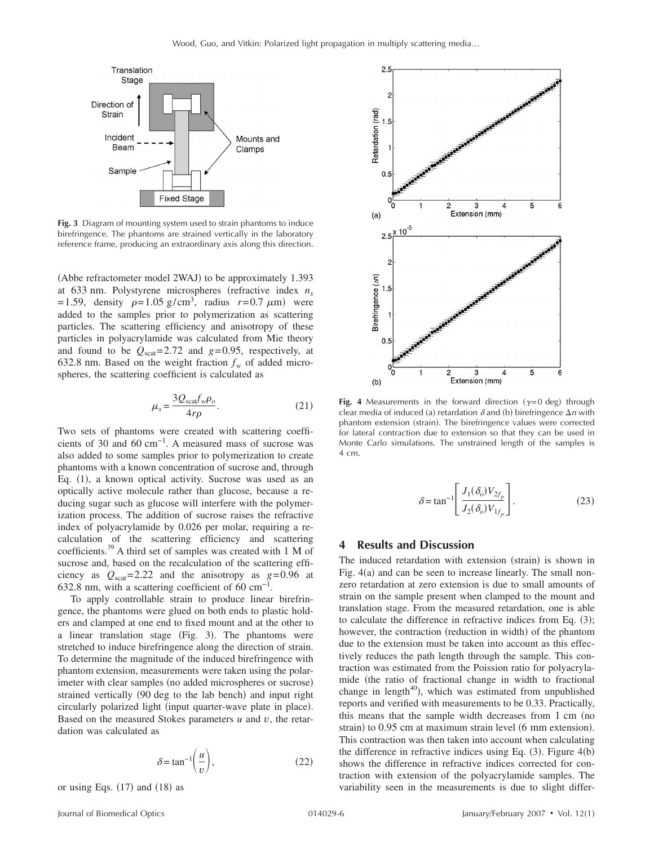

**Fig. 3** Diagram of mounting system used to strain phantoms to induce birefringence. The phantoms are strained vertically in the laboratory reference frame, producing an extraordinary axis along this direction.

(Abbe refractometer model 2WAJ) to be approximately 1.393 at 633 nm. Polystyrene microspheres (refractive index  $n_s$ )  $= 1.59$ , density  $\rho = 1.05$  g/cm<sup>3</sup>, radius  $r = 0.7$   $\mu$ m) were added to the samples prior to polymerization as scattering particles. The scattering efficiency and anisotropy of these particles in polyacrylamide was calculated from Mie theory and found to be  $Q_{scat} = 2.72$  and  $g = 0.95$ , respectively, at 632.8 nm. Based on the weight fraction  $f_w$  of added microspheres, the scattering coefficient is calculated as

$$
\mu_s = \frac{3Q_{\text{scat}} f_w \rho_o}{4r\rho}.
$$
\n(21)

Two sets of phantoms were created with scattering coefficients of 30 and 60 cm−1. A measured mass of sucrose was also added to some samples prior to polymerization to create phantoms with a known concentration of sucrose and, through Eq. (1), a known optical activity. Sucrose was used as an optically active molecule rather than glucose, because a reducing sugar such as glucose will interfere with the polymerization process. The addition of sucrose raises the refractive index of polyacrylamide by 0.026 per molar, requiring a recalculation of the scattering efficiency and scattering coefficients.39 A third set of samples was created with 1 M of sucrose and, based on the recalculation of the scattering efficiency as  $Q_{scat} = 2.22$  and the anisotropy as  $g = 0.96$  at 632.8 nm, with a scattering coefficient of 60 cm<sup>-1</sup>.

To apply controllable strain to produce linear birefringence, the phantoms were glued on both ends to plastic holders and clamped at one end to fixed mount and at the other to a linear translation stage (Fig. 3). The phantoms were stretched to induce birefringence along the direction of strain. To determine the magnitude of the induced birefringence with phantom extension, measurements were taken using the polarimeter with clear samples (no added microspheres or sucrose) strained vertically (90 deg to the lab bench) and input right circularly polarized light (input quarter-wave plate in place). Based on the measured Stokes parameters  $u$  and  $v$ , the retardation was calculated as

$$
\delta = \tan^{-1}\left(\frac{u}{v}\right),\tag{22}
$$

or using Eqs.  $(17)$  and  $(18)$  as



Fig. 4 Measurements in the forward direction  $(\gamma=0 \text{ deg})$  through clear media of induced (a) retardation  $\delta$  and (b) birefringence  $\Delta n$  with phantom extension (strain). The birefringence values were corrected for lateral contraction due to extension so that they can be used in Monte Carlo simulations. The unstrained length of the samples is 4 cm.

$$
\delta = \tan^{-1} \left[ \frac{J_1(\delta_o) V_{2f_p}}{J_2(\delta_o) V_{1f_p}} \right].
$$
\n(23)

# **4 Results and Discussion**

The induced retardation with extension (strain) is shown in Fig. 4(a) and can be seen to increase linearly. The small nonzero retardation at zero extension is due to small amounts of strain on the sample present when clamped to the mount and translation stage. From the measured retardation, one is able to calculate the difference in refractive indices from Eq. (3); however, the contraction (reduction in width) of the phantom due to the extension must be taken into account as this effectively reduces the path length through the sample. This contraction was estimated from the Poission ratio for polyacrylamide (the ratio of fractional change in width to fractional change in length<sup>40</sup>), which was estimated from unpublished reports and verified with measurements to be 0.33. Practically, this means that the sample width decreases from  $1 \text{ cm}$  (no strain) to 0.95 cm at maximum strain level (6 mm extension). This contraction was then taken into account when calculating the difference in refractive indices using Eq.  $(3)$ . Figure 4(b) shows the difference in refractive indices corrected for contraction with extension of the polyacrylamide samples. The variability seen in the measurements is due to slight differ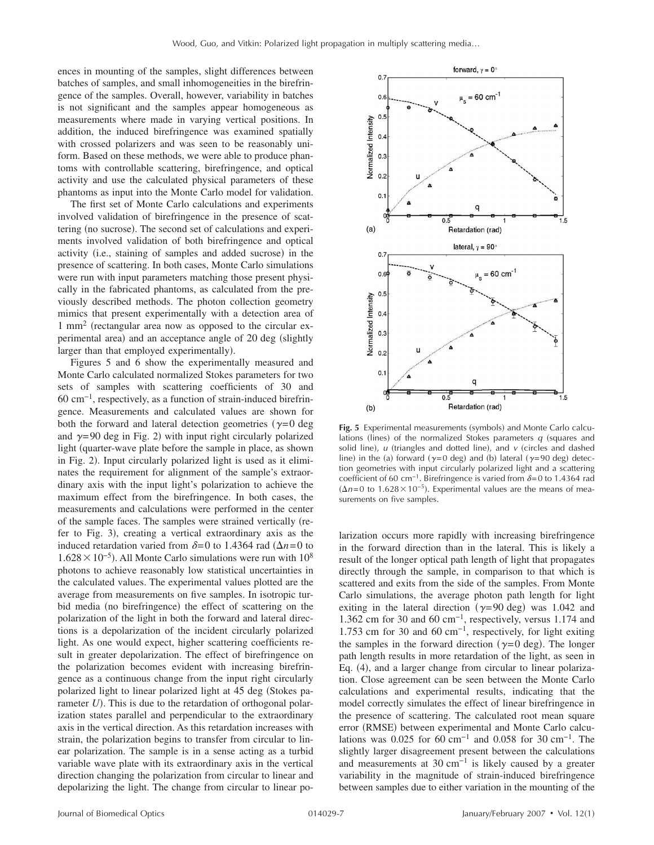ences in mounting of the samples, slight differences between batches of samples, and small inhomogeneities in the birefringence of the samples. Overall, however, variability in batches is not significant and the samples appear homogeneous as measurements where made in varying vertical positions. In addition, the induced birefringence was examined spatially with crossed polarizers and was seen to be reasonably uniform. Based on these methods, we were able to produce phantoms with controllable scattering, birefringence, and optical activity and use the calculated physical parameters of these phantoms as input into the Monte Carlo model for validation.

The first set of Monte Carlo calculations and experiments involved validation of birefringence in the presence of scattering (no sucrose). The second set of calculations and experiments involved validation of both birefringence and optical activity (i.e., staining of samples and added sucrose) in the presence of scattering. In both cases, Monte Carlo simulations were run with input parameters matching those present physically in the fabricated phantoms, as calculated from the previously described methods. The photon collection geometry mimics that present experimentally with a detection area of  $1 \text{ mm}^2$  (rectangular area now as opposed to the circular experimental area) and an acceptance angle of 20 deg (slightly larger than that employed experimentally).

Figures 5 and 6 show the experimentally measured and Monte Carlo calculated normalized Stokes parameters for two sets of samples with scattering coefficients of 30 and 60 cm−1, respectively, as a function of strain-induced birefringence. Measurements and calculated values are shown for both the forward and lateral detection geometries ( $\gamma = 0$  deg and  $\gamma = 90$  deg in Fig. 2) with input right circularly polarized light (quarter-wave plate before the sample in place, as shown in Fig. 2). Input circularly polarized light is used as it eliminates the requirement for alignment of the sample's extraordinary axis with the input light's polarization to achieve the maximum effect from the birefringence. In both cases, the measurements and calculations were performed in the center of the sample faces. The samples were strained vertically (refer to Fig. 3), creating a vertical extraordinary axis as the induced retardation varied from  $\delta = 0$  to 1.4364 rad  $(\Delta n = 0$  to  $1.628 \times 10^{-5}$ ). All Monte Carlo simulations were run with  $10^8$ photons to achieve reasonably low statistical uncertainties in the calculated values. The experimental values plotted are the average from measurements on five samples. In isotropic turbid media (no birefringence) the effect of scattering on the polarization of the light in both the forward and lateral directions is a depolarization of the incident circularly polarized light. As one would expect, higher scattering coefficients result in greater depolarization. The effect of birefringence on the polarization becomes evident with increasing birefringence as a continuous change from the input right circularly polarized light to linear polarized light at 45 deg (Stokes parameter U). This is due to the retardation of orthogonal polarization states parallel and perpendicular to the extraordinary axis in the vertical direction. As this retardation increases with strain, the polarization begins to transfer from circular to linear polarization. The sample is in a sense acting as a turbid variable wave plate with its extraordinary axis in the vertical direction changing the polarization from circular to linear and depolarizing the light. The change from circular to linear po-



Fig. 5 Experimental measurements (symbols) and Monte Carlo calculations (lines) of the normalized Stokes parameters  $q$  (squares and solid line),  $u$  (triangles and dotted line), and  $v$  (circles and dashed line) in the (a) forward ( $\gamma=0$  deg) and (b) lateral ( $\gamma=90$  deg) detection geometries with input circularly polarized light and a scattering coefficient of 60 cm<sup>-1</sup>. Birefringence is varied from  $\delta$ =0 to 1.4364 rad  $(\Delta n=0$  to 1.628×10<sup>-5</sup>). Experimental values are the means of measurements on five samples.

larization occurs more rapidly with increasing birefringence in the forward direction than in the lateral. This is likely a result of the longer optical path length of light that propagates directly through the sample, in comparison to that which is scattered and exits from the side of the samples. From Monte Carlo simulations, the average photon path length for light exiting in the lateral direction  $(\gamma=90 \text{ deg})$  was 1.042 and 1.362 cm for 30 and 60 cm−1, respectively, versus 1.174 and 1.753 cm for 30 and 60 cm−1, respectively, for light exiting the samples in the forward direction ( $\gamma=0$  deg). The longer path length results in more retardation of the light, as seen in Eq. (4), and a larger change from circular to linear polarization. Close agreement can be seen between the Monte Carlo calculations and experimental results, indicating that the model correctly simulates the effect of linear birefringence in the presence of scattering. The calculated root mean square error (RMSE) between experimental and Monte Carlo calculations was 0.025 for 60 cm<sup>-1</sup> and 0.058 for 30 cm<sup>-1</sup>. The slightly larger disagreement present between the calculations and measurements at 30 cm−1 is likely caused by a greater variability in the magnitude of strain-induced birefringence between samples due to either variation in the mounting of the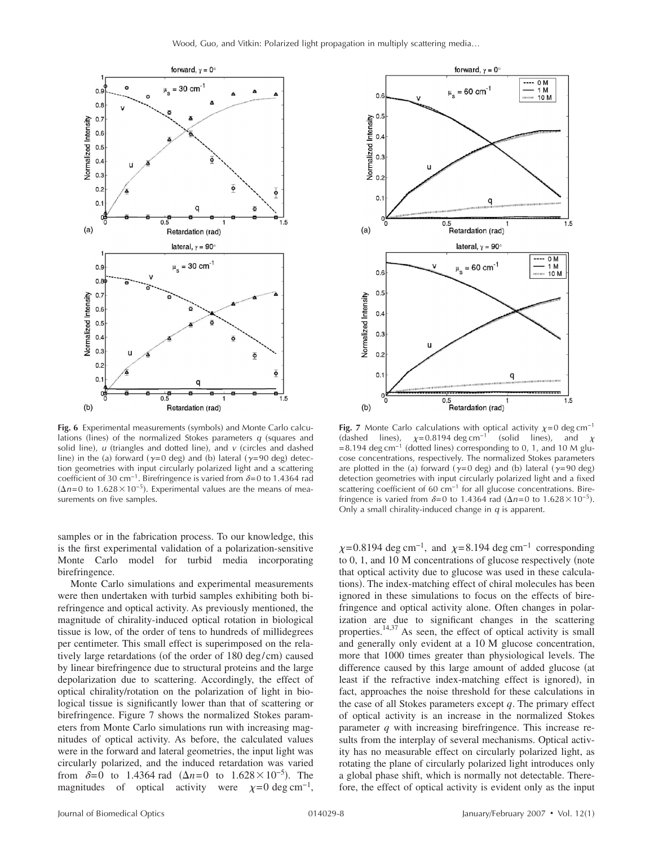

Fig. 6 Experimental measurements (symbols) and Monte Carlo calculations (lines) of the normalized Stokes parameters  $q$  (squares and solid line),  $u$  (triangles and dotted line), and  $v$  (circles and dashed line) in the (a) forward ( $\gamma=0$  deg) and (b) lateral ( $\gamma=90$  deg) detection geometries with input circularly polarized light and a scattering coefficient of 30 cm<sup>-1</sup>. Birefringence is varied from  $\delta$ =0 to 1.4364 rad  $(\Delta n=0$  to 1.628×10<sup>-5</sup>). Experimental values are the means of measurements on five samples.

samples or in the fabrication process. To our knowledge, this is the first experimental validation of a polarization-sensitive Monte Carlo model for turbid media incorporating birefringence.

Monte Carlo simulations and experimental measurements were then undertaken with turbid samples exhibiting both birefringence and optical activity. As previously mentioned, the magnitude of chirality-induced optical rotation in biological tissue is low, of the order of tens to hundreds of millidegrees per centimeter. This small effect is superimposed on the relatively large retardations (of the order of 180 deg/cm) caused by linear birefringence due to structural proteins and the large depolarization due to scattering. Accordingly, the effect of optical chirality/rotation on the polarization of light in biological tissue is significantly lower than that of scattering or birefringence. Figure 7 shows the normalized Stokes parameters from Monte Carlo simulations run with increasing magnitudes of optical activity. As before, the calculated values were in the forward and lateral geometries, the input light was circularly polarized, and the induced retardation was varied from  $\delta = 0$  to 1.4364 rad  $(\Delta n = 0$  to 1.628 × 10<sup>-5</sup>). The magnitudes of optical activity were  $\chi = 0$  deg cm<sup>-1</sup>,



**Fig. 7** Monte Carlo calculations with optical activity  $\chi$ =0 deg cm<sup>-1</sup> (dashed lines),  $\chi$ =0.8194 deg cm<sup>-1</sup> (solid lines), and  $=8.194$  deg cm<sup>-1</sup> (dotted lines) corresponding to 0, 1, and 10 M glucose concentrations, respectively. The normalized Stokes parameters are plotted in the (a) forward ( $\gamma=0$  deg) and (b) lateral ( $\gamma=90$  deg) detection geometries with input circularly polarized light and a fixed scattering coefficient of 60 cm<sup>-1</sup> for all glucose concentrations. Birefringence is varied from  $\delta$ =0 to 1.4364 rad  $(\Delta n=0$  to 1.628×10<sup>-5</sup>). Only a small chirality-induced change in *q* is apparent.

 $\chi$ = 0.8194 deg cm<sup>-1</sup>, and  $\chi$ = 8.194 deg cm<sup>-1</sup> corresponding to  $0, 1$ , and  $10$  M concentrations of glucose respectively (note that optical activity due to glucose was used in these calculations). The index-matching effect of chiral molecules has been ignored in these simulations to focus on the effects of birefringence and optical activity alone. Often changes in polarization are due to significant changes in the scattering properties. $14,37$  As seen, the effect of optical activity is small and generally only evident at a 10 M glucose concentration, more that 1000 times greater than physiological levels. The difference caused by this large amount of added glucose (at least if the refractive index-matching effect is ignored), in fact, approaches the noise threshold for these calculations in the case of all Stokes parameters except *q*. The primary effect of optical activity is an increase in the normalized Stokes parameter *q* with increasing birefringence. This increase results from the interplay of several mechanisms. Optical activity has no measurable effect on circularly polarized light, as rotating the plane of circularly polarized light introduces only a global phase shift, which is normally not detectable. Therefore, the effect of optical activity is evident only as the input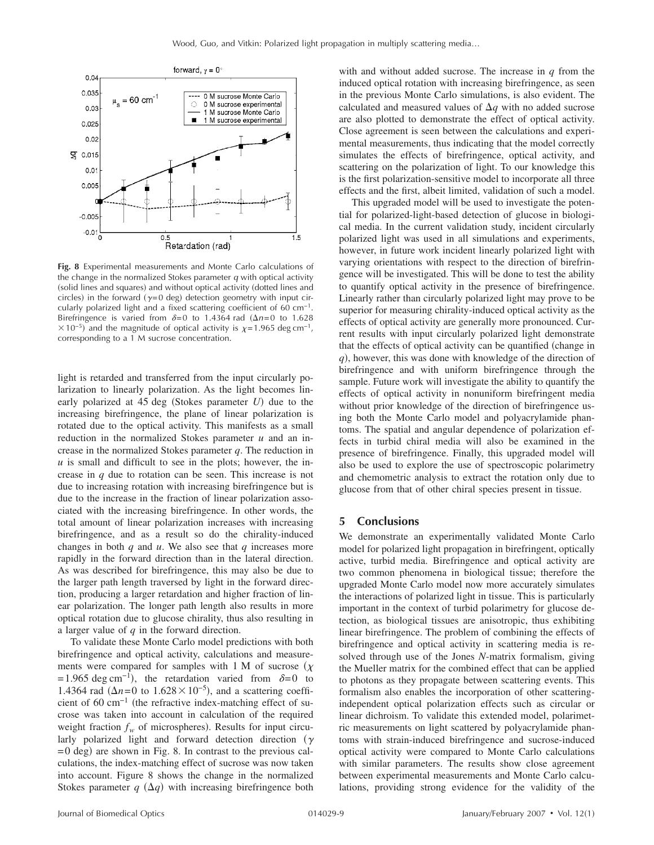

**Fig. 8** Experimental measurements and Monte Carlo calculations of the change in the normalized Stokes parameter *q* with optical activity (solid lines and squares) and without optical activity (dotted lines and circles) in the forward ( $\gamma=0$  deg) detection geometry with input circularly polarized light and a fixed scattering coefficient of 60 cm−1. Birefringence is varied from  $\delta=0$  to 1.4364 rad  $(\Delta n=0$  to 1.628  $\times$ 10<sup>-5</sup>) and the magnitude of optical activity is  $\chi$ =1.965 deg cm<sup>-1</sup>, corresponding to a 1 M sucrose concentration.

light is retarded and transferred from the input circularly polarization to linearly polarization. As the light becomes linearly polarized at 45 deg (Stokes parameter *U*) due to the increasing birefringence, the plane of linear polarization is rotated due to the optical activity. This manifests as a small reduction in the normalized Stokes parameter *u* and an increase in the normalized Stokes parameter *q*. The reduction in  $u$  is small and difficult to see in the plots; however, the increase in *q* due to rotation can be seen. This increase is not due to increasing rotation with increasing birefringence but is due to the increase in the fraction of linear polarization associated with the increasing birefringence. In other words, the total amount of linear polarization increases with increasing birefringence, and as a result so do the chirality-induced changes in both  $q$  and  $u$ . We also see that  $q$  increases more rapidly in the forward direction than in the lateral direction. As was described for birefringence, this may also be due to the larger path length traversed by light in the forward direction, producing a larger retardation and higher fraction of linear polarization. The longer path length also results in more optical rotation due to glucose chirality, thus also resulting in a larger value of *q* in the forward direction.

To validate these Monte Carlo model predictions with both birefringence and optical activity, calculations and measurements were compared for samples with 1 M of sucrose  $(\chi)$  $= 1.965 \text{ deg cm}^{-1}$ , the retardation varied from  $\delta = 0$  to 1.4364 rad  $(\Delta n=0 \text{ to } 1.628\times10^{-5})$ , and a scattering coefficient of 60 cm<sup>-1</sup> (the refractive index-matching effect of sucrose was taken into account in calculation of the required weight fraction  $f_w$  of microspheres). Results for input circularly polarized light and forward detection direction ( $\gamma$ = 0 deg) are shown in Fig. 8. In contrast to the previous calculations, the index-matching effect of sucrose was now taken into account. Figure 8 shows the change in the normalized Stokes parameter  $q(\Delta q)$  with increasing birefringence both

with and without added sucrose. The increase in *q* from the induced optical rotation with increasing birefringence, as seen in the previous Monte Carlo simulations, is also evident. The calculated and measured values of  $\Delta q$  with no added sucrose are also plotted to demonstrate the effect of optical activity. Close agreement is seen between the calculations and experimental measurements, thus indicating that the model correctly simulates the effects of birefringence, optical activity, and scattering on the polarization of light. To our knowledge this is the first polarization-sensitive model to incorporate all three effects and the first, albeit limited, validation of such a model.

This upgraded model will be used to investigate the potential for polarized-light-based detection of glucose in biological media. In the current validation study, incident circularly polarized light was used in all simulations and experiments, however, in future work incident linearly polarized light with varying orientations with respect to the direction of birefringence will be investigated. This will be done to test the ability to quantify optical activity in the presence of birefringence. Linearly rather than circularly polarized light may prove to be superior for measuring chirality-induced optical activity as the effects of optical activity are generally more pronounced. Current results with input circularly polarized light demonstrate that the effects of optical activity can be quantified change in q), however, this was done with knowledge of the direction of birefringence and with uniform birefringence through the sample. Future work will investigate the ability to quantify the effects of optical activity in nonuniform birefringent media without prior knowledge of the direction of birefringence using both the Monte Carlo model and polyacrylamide phantoms. The spatial and angular dependence of polarization effects in turbid chiral media will also be examined in the presence of birefringence. Finally, this upgraded model will also be used to explore the use of spectroscopic polarimetry and chemometric analysis to extract the rotation only due to glucose from that of other chiral species present in tissue.

# **5 Conclusions**

We demonstrate an experimentally validated Monte Carlo model for polarized light propagation in birefringent, optically active, turbid media. Birefringence and optical activity are two common phenomena in biological tissue; therefore the upgraded Monte Carlo model now more accurately simulates the interactions of polarized light in tissue. This is particularly important in the context of turbid polarimetry for glucose detection, as biological tissues are anisotropic, thus exhibiting linear birefringence. The problem of combining the effects of birefringence and optical activity in scattering media is resolved through use of the Jones *N*-matrix formalism, giving the Mueller matrix for the combined effect that can be applied to photons as they propagate between scattering events. This formalism also enables the incorporation of other scatteringindependent optical polarization effects such as circular or linear dichroism. To validate this extended model, polarimetric measurements on light scattered by polyacrylamide phantoms with strain-induced birefringence and sucrose-induced optical activity were compared to Monte Carlo calculations with similar parameters. The results show close agreement between experimental measurements and Monte Carlo calculations, providing strong evidence for the validity of the